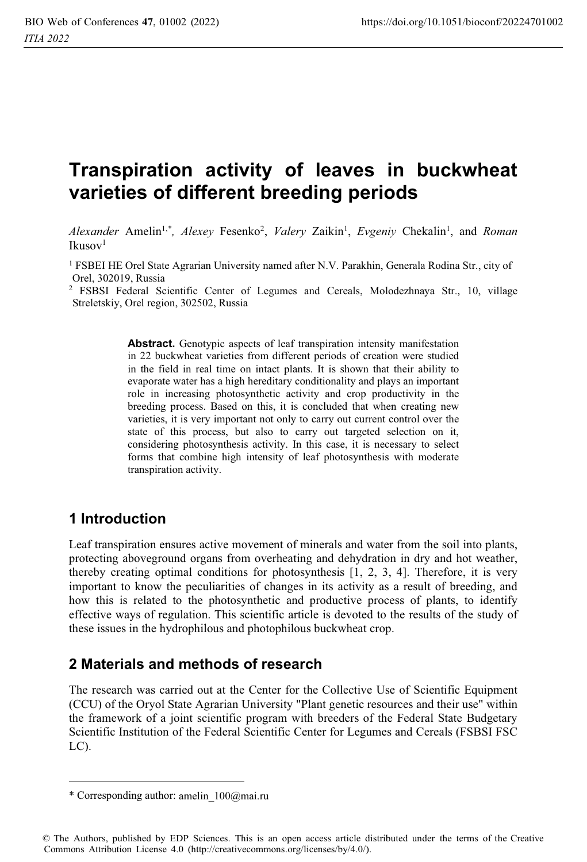# **Transpiration activity of leaves in buckwheat varieties of different breeding periods**

*Alexander* Amelin<sup>1,\*</sup>, *Alexey* Fesenko<sup>2</sup>, *Valery* Zaikin<sup>1</sup>, *Evgeniy* Chekalin<sup>1</sup>, and *Roman* Ikusov<sup>1</sup>

1 FSBEI HE Orel State Agrarian University named after N.V. Parakhin, Generala Rodina Str., city of Orel, 302019, Russia

2 FSBSI Federal Scientific Center of Legumes and Cereals, Molodezhnaya Str., 10, village Streletskiy, Orel region, 302502, Russia

> **Abstract.** Genotypic aspects of leaf transpiration intensity manifestation in 22 buckwheat varieties from different periods of creation were studied in the field in real time on intact plants. It is shown that their ability to evaporate water has a high hereditary conditionality and plays an important role in increasing photosynthetic activity and crop productivity in the breeding process. Based on this, it is concluded that when creating new varieties, it is very important not only to carry out current control over the state of this process, but also to carry out targeted selection on it, considering photosynthesis activity. In this case, it is necessary to select forms that combine high intensity of leaf photosynthesis with moderate transpiration activity.

# **1 Introduction**

Leaf transpiration ensures active movement of minerals and water from the soil into plants, protecting aboveground organs from overheating and dehydration in dry and hot weather, thereby creating optimal conditions for photosynthesis [1, 2, 3, 4]. Therefore, it is very important to know the peculiarities of changes in its activity as a result of breeding, and how this is related to the photosynthetic and productive process of plants, to identify effective ways of regulation. This scientific article is devoted to the results of the study of these issues in the hydrophilous and photophilous buckwheat crop.

# **2 Materials and methods of research**

The research was carried out at the Center for the Collective Use of Scientific Equipment (CCU) of the Oryol State Agrarian University "Plant genetic resources and their use" within the framework of a joint scientific program with breeders of the Federal State Budgetary Scientific Institution of the Federal Scientific Center for Legumes and Cereals (FSBSI FSC LC).

© The Authors, published by EDP Sciences. This is an open access article distributed under the terms of the Creative Commons Attribution License 4.0 (http://creativecommons.org/licenses/by/4.0/).

<sup>\*</sup> Corresponding author: amelin\_100@mai.ru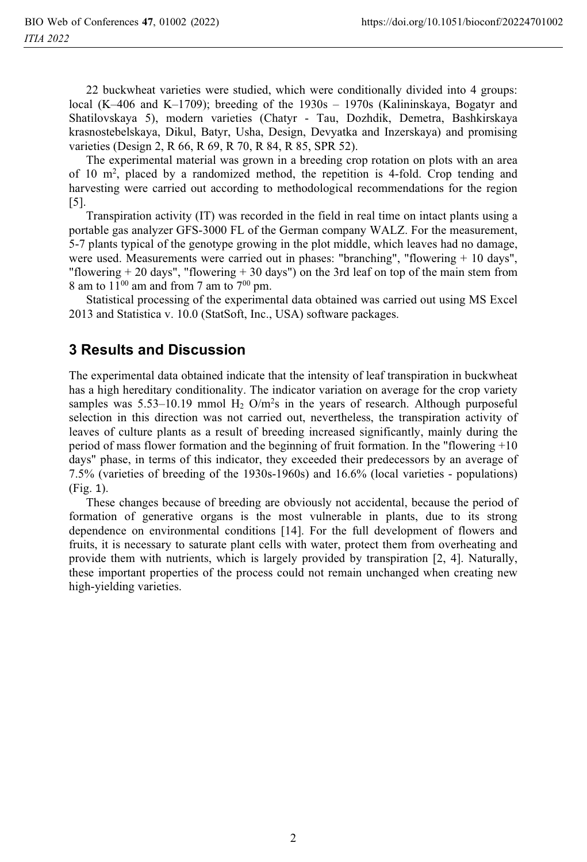22 buckwheat varieties were studied, which were conditionally divided into 4 groups: local (K–406 and K–1709); breeding of the 1930s – 1970s (Kalininskaya, Bogatyr and Shatilovskaya 5), modern varieties (Chatyr - Tau, Dozhdik, Demetra, Bashkirskaya krasnostebelskaya, Dikul, Batyr, Usha, Design, Devyatka and Inzerskaya) and promising varieties (Design 2, R 66, R 69, R 70, R 84, R 85, SPR 52).

The experimental material was grown in a breeding crop rotation on plots with an area of 10 m<sup>2</sup>, placed by a randomized method, the repetition is 4-fold. Crop tending and harvesting were carried out according to methodological recommendations for the region [5].

Transpiration activity (IT) was recorded in the field in real time on intact plants using a portable gas analyzer GFS-3000 FL of the German company WALZ. For the measurement, 5-7 plants typical of the genotype growing in the plot middle, which leaves had no damage, were used. Measurements were carried out in phases: "branching", "flowering + 10 days", "flowering  $+ 20$  days", "flowering  $+ 30$  days") on the 3rd leaf on top of the main stem from 8 am to  $11^{00}$  am and from 7 am to  $7^{00}$  pm.

Statistical processing of the experimental data obtained was carried out using MS Excel 2013 and Statistica v. 10.0 (StatSoft, Inc., USA) software packages.

#### **3 Results and Discussion**

The experimental data obtained indicate that the intensity of leaf transpiration in buckwheat has a high hereditary conditionality. The indicator variation on average for the crop variety samples was  $5.53-10.19$  mmol  $H_2$  O/m<sup>2</sup>s in the years of research. Although purposeful selection in this direction was not carried out, nevertheless, the transpiration activity of leaves of culture plants as a result of breeding increased significantly, mainly during the period of mass flower formation and the beginning of fruit formation. In the "flowering +10 days" phase, in terms of this indicator, they exceeded their predecessors by an average of 7.5% (varieties of breeding of the 1930s-1960s) and 16.6% (local varieties - populations) (Fig. 1).

These changes because of breeding are obviously not accidental, because the period of formation of generative organs is the most vulnerable in plants, due to its strong dependence on environmental conditions [14]. For the full development of flowers and fruits, it is necessary to saturate plant cells with water, protect them from overheating and provide them with nutrients, which is largely provided by transpiration [2, 4]. Naturally, these important properties of the process could not remain unchanged when creating new high-yielding varieties.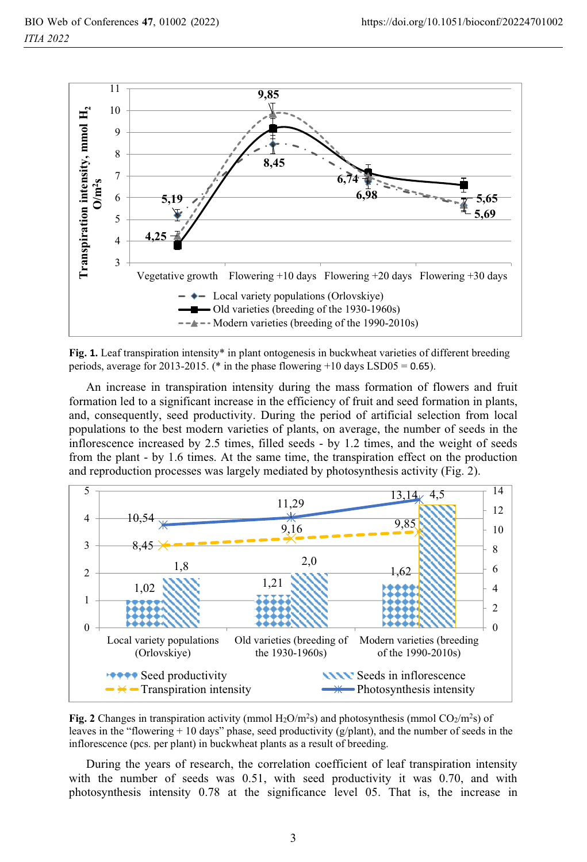

**Fig. 1.** Leaf transpiration intensity\* in plant ontogenesis in buckwheat varieties of different breeding periods, average for 2013-2015. (\* in the phase flowering  $+10$  days LSD05 = 0.65).

An increase in transpiration intensity during the mass formation of flowers and fruit formation led to a significant increase in the efficiency of fruit and seed formation in plants, and, consequently, seed productivity. During the period of artificial selection from local populations to the best modern varieties of plants, on average, the number of seeds in the inflorescence increased by 2.5 times, filled seeds - by 1.2 times, and the weight of seeds from the plant - by 1.6 times. At the same time, the transpiration effect on the production and reproduction processes was largely mediated by photosynthesis activity (Fig. 2).



**Fig. 2** Changes in transpiration activity (mmol  $H_2O/m^2s$ ) and photosynthesis (mmol  $CO_2/m^2s$ ) of leaves in the "flowering + 10 days" phase, seed productivity (g/plant), and the number of seeds in the inflorescence (pcs. per plant) in buckwheat plants as a result of breeding.

During the years of research, the correlation coefficient of leaf transpiration intensity with the number of seeds was 0.51, with seed productivity it was 0.70, and with photosynthesis intensity 0.78 at the significance level 05. That is, the increase in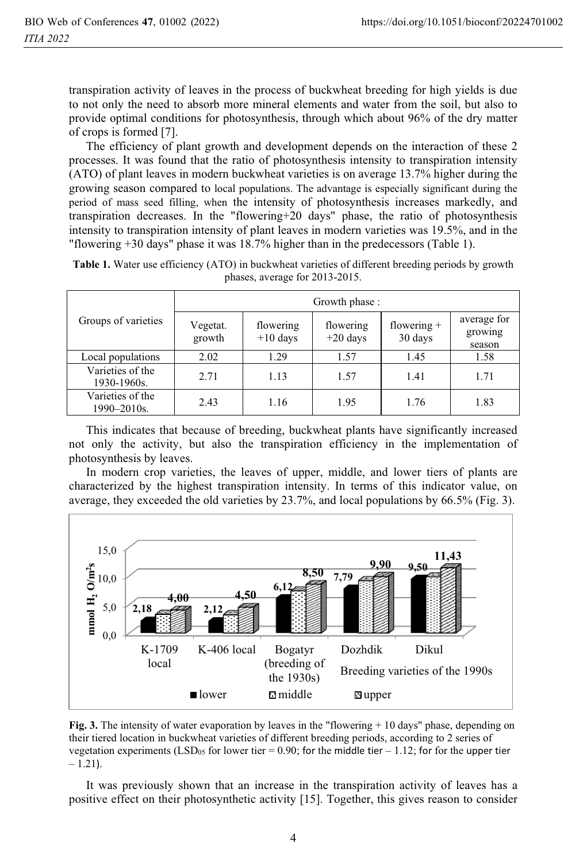transpiration activity of leaves in the process of buckwheat breeding for high yields is due to not only the need to absorb more mineral elements and water from the soil, but also to provide optimal conditions for photosynthesis, through which about 96% of the dry matter of crops is formed [7].

The efficiency of plant growth and development depends on the interaction of these 2 processes. It was found that the ratio of photosynthesis intensity to transpiration intensity (ATO) of plant leaves in modern buckwheat varieties is on average 13.7% higher during the growing season compared to local populations. The advantage is especially significant during the period of mass seed filling, when the intensity of photosynthesis increases markedly, and transpiration decreases. In the "flowering+20 days" phase, the ratio of photosynthesis intensity to transpiration intensity of plant leaves in modern varieties was 19.5%, and in the "flowering +30 days" phase it was 18.7% higher than in the predecessors (Table 1).

| <b>Table 1.</b> Water use efficiency (ATO) in buckwheat varieties of different breeding periods by growth |  |
|-----------------------------------------------------------------------------------------------------------|--|
| phases, average for 2013-2015.                                                                            |  |

|                                      | Growth phase:      |                         |                         |                          |                                  |
|--------------------------------------|--------------------|-------------------------|-------------------------|--------------------------|----------------------------------|
| Groups of varieties                  | Vegetat.<br>growth | flowering<br>$+10$ days | flowering<br>$+20$ days | flowering $+$<br>30 days | average for<br>growing<br>season |
| Local populations                    | 2.02               | 1.29                    | 1.57                    | 1.45                     | 1.58                             |
| Varieties of the<br>1930-1960s.      | 2.71               | 1.13                    | 1.57                    | 1.41                     | 1.71                             |
| Varieties of the<br>$1990 - 2010s$ . | 2.43               | 1.16                    | 1.95                    | 1.76                     | 1.83                             |

This indicates that because of breeding, buckwheat plants have significantly increased not only the activity, but also the transpiration efficiency in the implementation of photosynthesis by leaves.

In modern crop varieties, the leaves of upper, middle, and lower tiers of plants are characterized by the highest transpiration intensity. In terms of this indicator value, on average, they exceeded the old varieties by 23.7%, and local populations by 66.5% (Fig. 3).



**Fig. 3.** The intensity of water evaporation by leaves in the "flowering + 10 days" phase, depending on their tiered location in buckwheat varieties of different breeding periods, according to 2 series of vegetation experiments (LSD<sub>05</sub> for lower tier = 0.90; for the middle tier – 1.12; for for the upper tier  $-1.21$ ).

It was previously shown that an increase in the transpiration activity of leaves has a positive effect on their photosynthetic activity [15]. Together, this gives reason to consider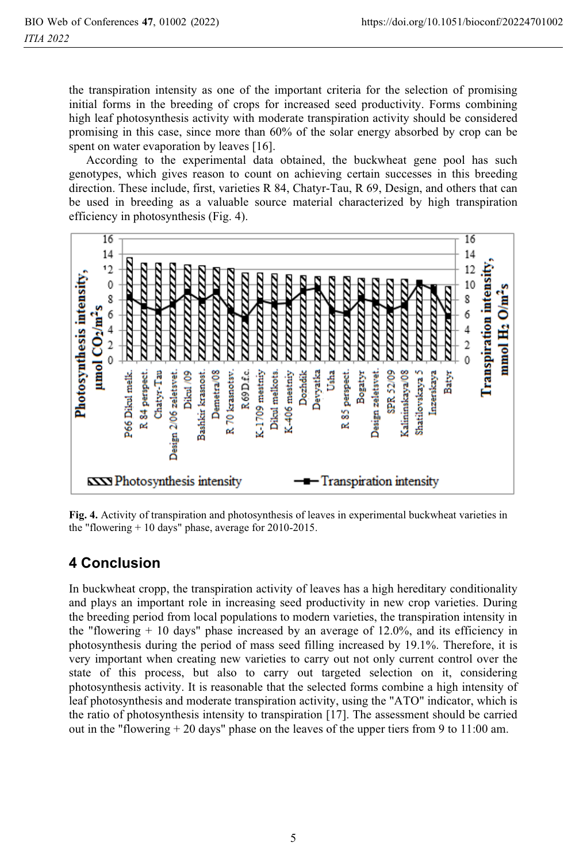the transpiration intensity as one of the important criteria for the selection of promising initial forms in the breeding of crops for increased seed productivity. Forms combining high leaf photosynthesis activity with moderate transpiration activity should be considered promising in this case, since more than 60% of the solar energy absorbed by crop can be spent on water evaporation by leaves [16].

According to the experimental data obtained, the buckwheat gene pool has such genotypes, which gives reason to count on achieving certain successes in this breeding direction. These include, first, varieties R 84, Chatyr-Tau, R 69, Design, and others that can be used in breeding as a valuable source material characterized by high transpiration efficiency in photosynthesis (Fig. 4).



**Fig. 4.** Activity of transpiration and photosynthesis of leaves in experimental buckwheat varieties in the "flowering + 10 days" phase, average for 2010-2015.

# **4 Conclusion**

In buckwheat cropp, the transpiration activity of leaves has a high hereditary conditionality and plays an important role in increasing seed productivity in new crop varieties. During the breeding period from local populations to modern varieties, the transpiration intensity in the "flowering  $+10$  days" phase increased by an average of 12.0%, and its efficiency in photosynthesis during the period of mass seed filling increased by 19.1%. Therefore, it is very important when creating new varieties to carry out not only current control over the state of this process, but also to carry out targeted selection on it, considering photosynthesis activity. It is reasonable that the selected forms combine a high intensity of leaf photosynthesis and moderate transpiration activity, using the "ATO" indicator, which is the ratio of photosynthesis intensity to transpiration [17]. The assessment should be carried out in the "flowering  $+ 20$  days" phase on the leaves of the upper tiers from 9 to 11:00 am.